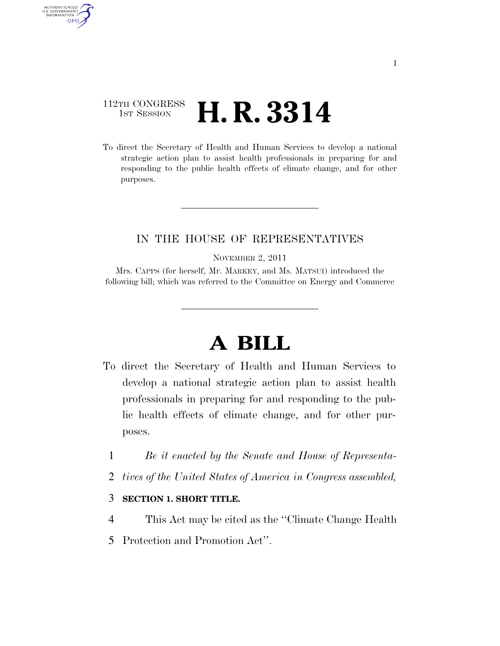## 112TH CONGRESS <sup>TH CONGRESS</sup> **H. R. 3314**

AUTHENTICATED<br>U.S. GOVERNMENT<br>INFORMATION GPO

> To direct the Secretary of Health and Human Services to develop a national strategic action plan to assist health professionals in preparing for and responding to the public health effects of climate change, and for other purposes.

## IN THE HOUSE OF REPRESENTATIVES

NOVEMBER 2, 2011

Mrs. CAPPS (for herself, Mr. MARKEY, and Ms. MATSUI) introduced the following bill; which was referred to the Committee on Energy and Commerce

# **A BILL**

- To direct the Secretary of Health and Human Services to develop a national strategic action plan to assist health professionals in preparing for and responding to the public health effects of climate change, and for other purposes.
	- 1 *Be it enacted by the Senate and House of Representa-*
	- 2 *tives of the United States of America in Congress assembled,*

#### 3 **SECTION 1. SHORT TITLE.**

- 4 This Act may be cited as the ''Climate Change Health
- 5 Protection and Promotion Act''.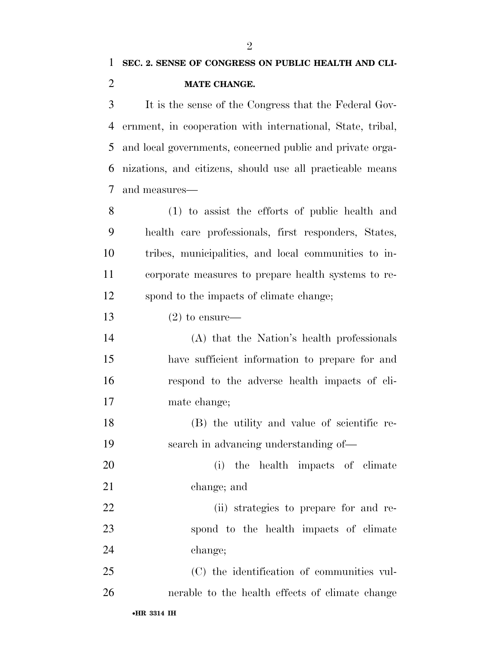It is the sense of the Congress that the Federal Gov- ernment, in cooperation with international, State, tribal, and local governments, concerned public and private orga- nizations, and citizens, should use all practicable means and measures—

 (1) to assist the efforts of public health and health care professionals, first responders, States, tribes, municipalities, and local communities to in- corporate measures to prepare health systems to re-spond to the impacts of climate change;

13  $(2)$  to ensure—

 (A) that the Nation's health professionals have sufficient information to prepare for and respond to the adverse health impacts of cli-mate change;

- (B) the utility and value of scientific re-search in advancing understanding of—
- (i) the health impacts of climate change; and

 (ii) strategies to prepare for and re- spond to the health impacts of climate change;

 (C) the identification of communities vul-nerable to the health effects of climate change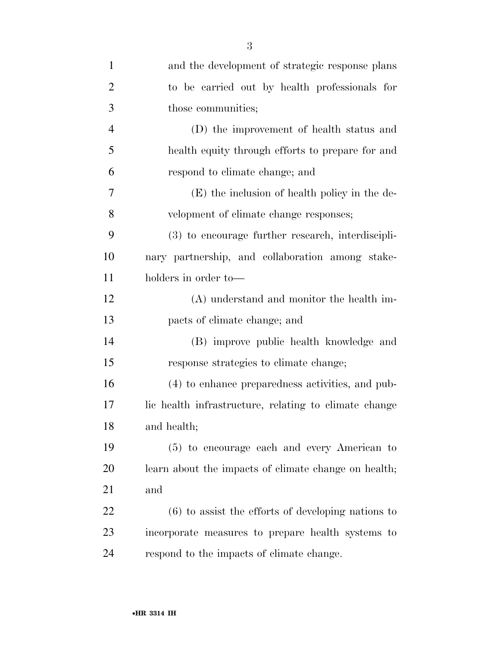| $\mathbf{1}$   | and the development of strategic response plans       |
|----------------|-------------------------------------------------------|
| $\overline{2}$ | to be carried out by health professionals for         |
| 3              | those communities;                                    |
| $\overline{4}$ | (D) the improvement of health status and              |
| 5              | health equity through efforts to prepare for and      |
| 6              | respond to climate change; and                        |
| $\overline{7}$ | $(E)$ the inclusion of health policy in the de-       |
| 8              | velopment of climate change responses;                |
| 9              | (3) to encourage further research, interdiscipli-     |
| 10             | nary partnership, and collaboration among stake-      |
| 11             | holders in order to-                                  |
| 12             | (A) understand and monitor the health im-             |
| 13             | pacts of climate change; and                          |
| 14             | (B) improve public health knowledge and               |
| 15             | response strategies to climate change;                |
| 16             | (4) to enhance preparedness activities, and pub-      |
| 17             | lic health infrastructure, relating to climate change |
| 18             | and health;                                           |
| 19             | (5) to encourage each and every American to           |
| 20             | learn about the impacts of climate change on health;  |
| 21             | and                                                   |
| 22             | $(6)$ to assist the efforts of developing nations to  |
| 23             | incorporate measures to prepare health systems to     |
| 24             | respond to the impacts of climate change.             |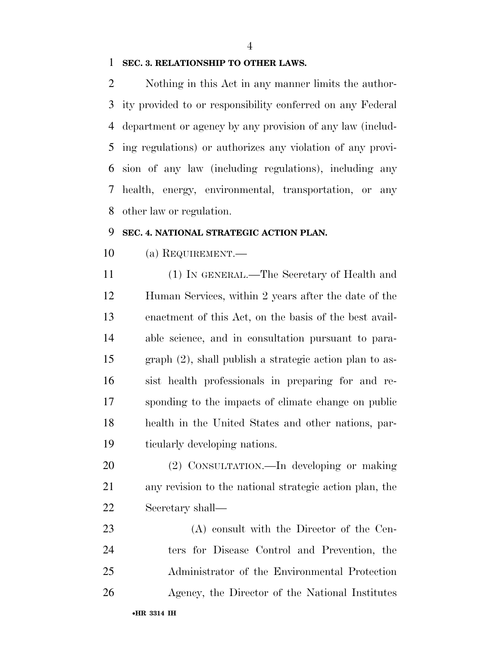#### **SEC. 3. RELATIONSHIP TO OTHER LAWS.**

 Nothing in this Act in any manner limits the author- ity provided to or responsibility conferred on any Federal department or agency by any provision of any law (includ- ing regulations) or authorizes any violation of any provi- sion of any law (including regulations), including any health, energy, environmental, transportation, or any other law or regulation.

#### **SEC. 4. NATIONAL STRATEGIC ACTION PLAN.**

(a) REQUIREMENT.—

 (1) IN GENERAL.—The Secretary of Health and Human Services, within 2 years after the date of the enactment of this Act, on the basis of the best avail- able science, and in consultation pursuant to para- graph (2), shall publish a strategic action plan to as- sist health professionals in preparing for and re- sponding to the impacts of climate change on public health in the United States and other nations, par-ticularly developing nations.

 (2) CONSULTATION.—In developing or making any revision to the national strategic action plan, the Secretary shall—

 (A) consult with the Director of the Cen- ters for Disease Control and Prevention, the Administrator of the Environmental Protection Agency, the Director of the National Institutes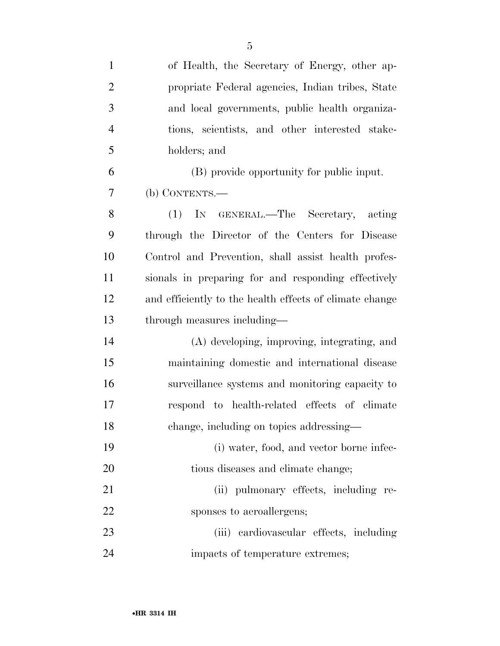| $\mathbf{1}$   | of Health, the Secretary of Energy, other ap-           |
|----------------|---------------------------------------------------------|
| $\overline{2}$ | propriate Federal agencies, Indian tribes, State        |
| 3              | and local governments, public health organiza-          |
| $\overline{4}$ | tions, scientists, and other interested stake-          |
| 5              | holders; and                                            |
| 6              | (B) provide opportunity for public input.               |
| 7              | $(b)$ CONTENTS.—                                        |
| 8              | IN GENERAL.—The Secretary, acting<br>(1)                |
| 9              | through the Director of the Centers for Disease         |
| 10             | Control and Prevention, shall assist health profes-     |
| 11             | sionals in preparing for and responding effectively     |
| 12             | and efficiently to the health effects of climate change |
| 13             | through measures including—                             |
| 14             | (A) developing, improving, integrating, and             |
| 15             | maintaining domestic and international disease          |
| 16             | surveillance systems and monitoring capacity to         |
| 17             | respond to health-related effects of climate            |
| 18             | change, including on topics addressing-                 |
| 19             | (i) water, food, and vector borne infec-                |
| 20             | tious diseases and climate change;                      |
| 21             | (ii) pulmonary effects, including re-                   |
| 22             | sponses to aeroallergens;                               |
| 23             | (iii) cardiovascular effects, including                 |
| 24             | impacts of temperature extremes;                        |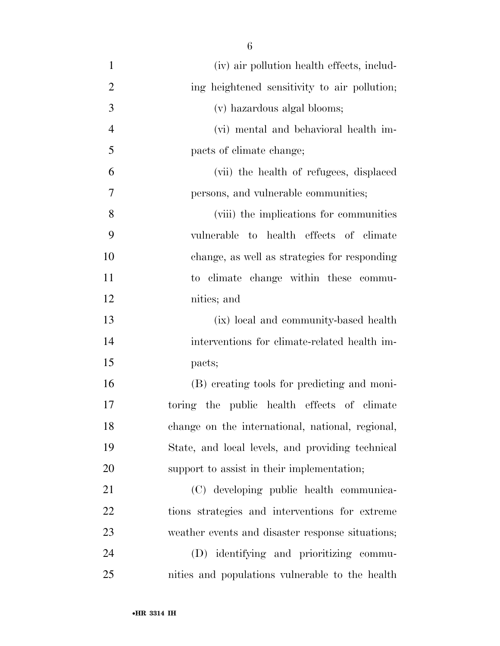- (iv) air pollution health effects, includ-2 ing heightened sensitivity to air pollution; (v) hazardous algal blooms; (vi) mental and behavioral health im- pacts of climate change; (vii) the health of refugees, displaced persons, and vulnerable communities; (viii) the implications for communities vulnerable to health effects of climate change, as well as strategies for responding to climate change within these commu- nities; and (ix) local and community-based health interventions for climate-related health im- pacts; (B) creating tools for predicting and moni- toring the public health effects of climate change on the international, national, regional, State, and local levels, and providing technical support to assist in their implementation; (C) developing public health communica- tions strategies and interventions for extreme weather events and disaster response situations; (D) identifying and prioritizing commu-
- nities and populations vulnerable to the health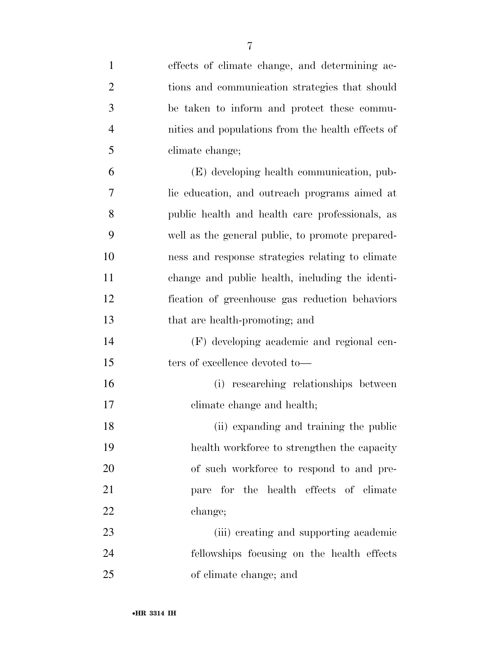| $\mathbf{1}$   | effects of climate change, and determining ac-    |
|----------------|---------------------------------------------------|
| $\overline{2}$ | tions and communication strategies that should    |
| 3              | be taken to inform and protect these commu-       |
| 4              | nities and populations from the health effects of |
| 5              | climate change;                                   |
| 6              | (E) developing health communication, pub-         |
| 7              | lic education, and outreach programs aimed at     |
| 8              | public health and health care professionals, as   |
| 9              | well as the general public, to promote prepared-  |
| 10             | ness and response strategies relating to climate  |
| 11             | change and public health, including the identi-   |
| 12             | fication of greenhouse gas reduction behaviors    |
| 13             | that are health-promoting; and                    |
| 14             | (F) developing academic and regional cen-         |
| 15             | ters of excellence devoted to-                    |
| 16             | (i) researching relationships between             |
| 17             | climate change and health;                        |
| 18             | (ii) expanding and training the public            |
| 19             | health workforce to strengthen the capacity       |
| 20             | of such workforce to respond to and pre-          |
| 21             | pare for the health effects of climate            |
| 22             | change;                                           |
| 23             | (iii) creating and supporting academic            |
| 24             | fellowships focusing on the health effects        |
| 25             | of climate change; and                            |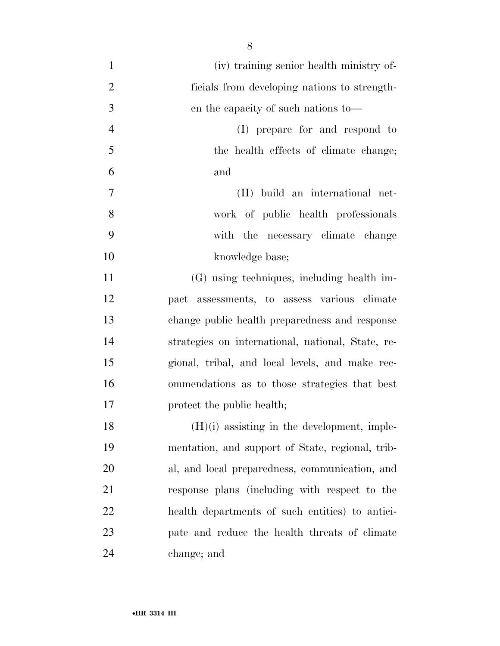| $\mathbf{1}$   | (iv) training senior health ministry of-          |
|----------------|---------------------------------------------------|
| $\overline{2}$ | ficials from developing nations to strength-      |
| 3              | en the capacity of such nations to—               |
| $\overline{4}$ | (I) prepare for and respond to                    |
| 5              | the health effects of climate change;             |
| 6              | and                                               |
| $\overline{7}$ | (II) build an international net-                  |
| 8              | work of public health professionals               |
| 9              | with the necessary climate change                 |
| 10             | knowledge base;                                   |
| 11             | (G) using techniques, including health im-        |
| 12             | pact assessments, to assess various climate       |
| 13             | change public health preparedness and response    |
| 14             | strategies on international, national, State, re- |
| 15             | gional, tribal, and local levels, and make rec-   |
| 16             | ommendations as to those strategies that best     |
| 17             | protect the public health;                        |
| 18             | $(H)(i)$ assisting in the development, imple-     |
| 19             | mentation, and support of State, regional, trib-  |
| 20             | al, and local preparedness, communication, and    |
| 21             | response plans (including with respect to the     |
| 22             | health departments of such entities) to antici-   |
| 23             | pate and reduce the health threats of climate     |
| 24             | change; and                                       |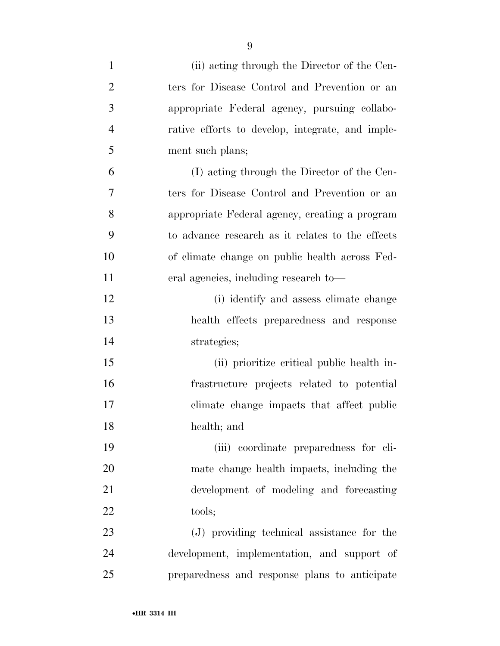| $\mathbf{1}$   | (ii) acting through the Director of the Cen-     |
|----------------|--------------------------------------------------|
| $\overline{2}$ | ters for Disease Control and Prevention or an    |
| 3              | appropriate Federal agency, pursuing collabo-    |
| $\overline{4}$ | rative efforts to develop, integrate, and imple- |
| 5              | ment such plans;                                 |
| 6              | (I) acting through the Director of the Cen-      |
| 7              | ters for Disease Control and Prevention or an    |
| 8              | appropriate Federal agency, creating a program   |
| 9              | to advance research as it relates to the effects |
| 10             | of climate change on public health across Fed-   |
| 11             | eral agencies, including research to-            |
| 12             | (i) identify and assess climate change           |
| 13             | health effects preparedness and response         |
| 14             | strategies;                                      |
| 15             | (ii) prioritize critical public health in-       |
| 16             | frastructure projects related to potential       |
| 17             | climate change impacts that affect public        |
| 18             | health; and                                      |
| 19             | (iii) coordinate preparedness for cli-           |
| 20             | mate change health impacts, including the        |
| 21             | development of modeling and forecasting          |
| 22             | tools;                                           |
| 23             | (J) providing technical assistance for the       |
| 24             | development, implementation, and support of      |
| 25             | preparedness and response plans to anticipate    |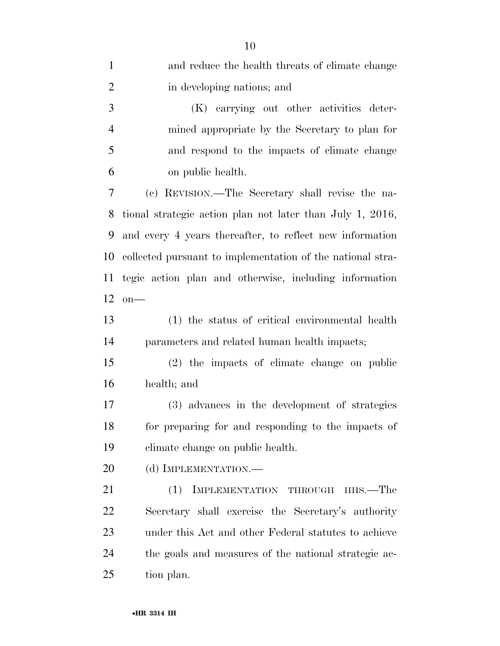| $\mathbf{1}$   | and reduce the health threats of climate change            |
|----------------|------------------------------------------------------------|
| $\overline{2}$ | in developing nations; and                                 |
| 3              | (K) carrying out other activities deter-                   |
| $\overline{4}$ | mined appropriate by the Secretary to plan for             |
| 5              | and respond to the impacts of climate change               |
| 6              | on public health.                                          |
| 7              | (c) REVISION.—The Secretary shall revise the na-           |
| 8              | tional strategic action plan not later than July 1, 2016,  |
| 9              | and every 4 years thereafter, to reflect new information   |
| 10             | collected pursuant to implementation of the national stra- |
| 11             | tegic action plan and otherwise, including information     |
| 12             | $on$ —                                                     |
| 13             | (1) the status of critical environmental health            |
| 14             | parameters and related human health impacts;               |
| 15             | (2) the impacts of climate change on public                |
| 16             | health; and                                                |
| 17             | (3) advances in the development of strategies              |
| 18             | for preparing for and responding to the impacts of         |
| 19             | climate change on public health.                           |
| 20             | (d) IMPLEMENTATION.—                                       |
| 21             | (1)<br>IMPLEMENTATION THROUGH<br>HHS.—The                  |
| 22             | Secretary shall exercise the Secretary's authority         |
| 23             | under this Act and other Federal statutes to achieve       |
| 24             | the goals and measures of the national strategic ac-       |
| 25             | tion plan.                                                 |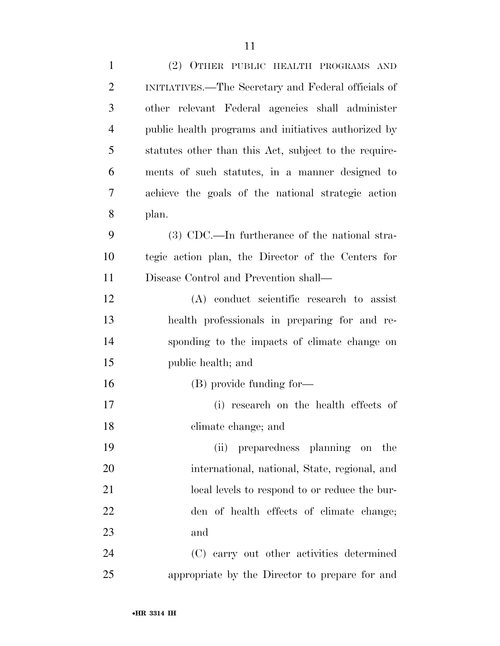| $\mathbf{1}$   | (2) OTHER PUBLIC HEALTH PROGRAMS AND                  |
|----------------|-------------------------------------------------------|
| $\overline{2}$ | INITIATIVES.—The Secretary and Federal officials of   |
| 3              | other relevant Federal agencies shall administer      |
| $\overline{4}$ | public health programs and initiatives authorized by  |
| 5              | statutes other than this Act, subject to the require- |
| 6              | ments of such statutes, in a manner designed to       |
| 7              | achieve the goals of the national strategic action    |
| 8              | plan.                                                 |
| 9              | $(3)$ CDC.—In furtherance of the national stra-       |
| 10             | tegic action plan, the Director of the Centers for    |
| 11             | Disease Control and Prevention shall—                 |
| 12             | (A) conduct scientific research to assist             |
| 13             | health professionals in preparing for and re-         |
| 14             | sponding to the impacts of climate change on          |
| 15             | public health; and                                    |
| 16             | (B) provide funding for-                              |
| 17             | (i) research on the health effects of                 |
| 18             | climate change; and                                   |
| 19             | preparedness planning on the<br>(ii)                  |
| 20             | international, national, State, regional, and         |
| 21             | local levels to respond to or reduce the bur-         |
| 22             | den of health effects of climate change;              |
| 23             | and                                                   |
| 24             | (C) carry out other activities determined             |
| 25             | appropriate by the Director to prepare for and        |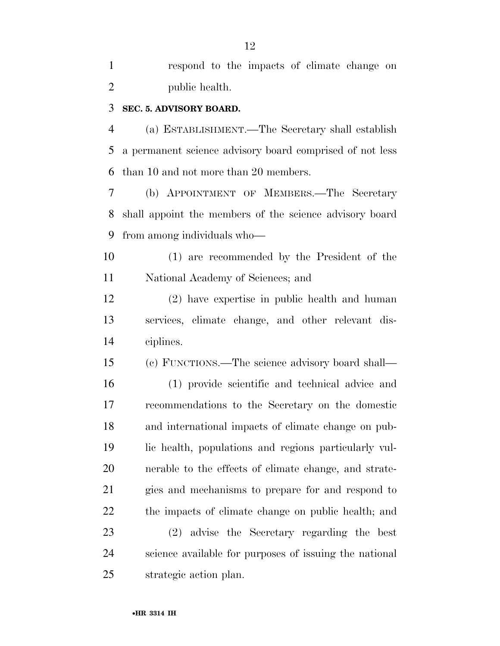respond to the impacts of climate change on public health.

#### **SEC. 5. ADVISORY BOARD.**

 (a) ESTABLISHMENT.—The Secretary shall establish a permanent science advisory board comprised of not less than 10 and not more than 20 members.

 (b) APPOINTMENT OF MEMBERS.—The Secretary shall appoint the members of the science advisory board from among individuals who—

 (1) are recommended by the President of the National Academy of Sciences; and

 (2) have expertise in public health and human services, climate change, and other relevant dis-ciplines.

 (c) FUNCTIONS.—The science advisory board shall— (1) provide scientific and technical advice and recommendations to the Secretary on the domestic and international impacts of climate change on pub- lic health, populations and regions particularly vul- nerable to the effects of climate change, and strate- gies and mechanisms to prepare for and respond to the impacts of climate change on public health; and

 (2) advise the Secretary regarding the best science available for purposes of issuing the national strategic action plan.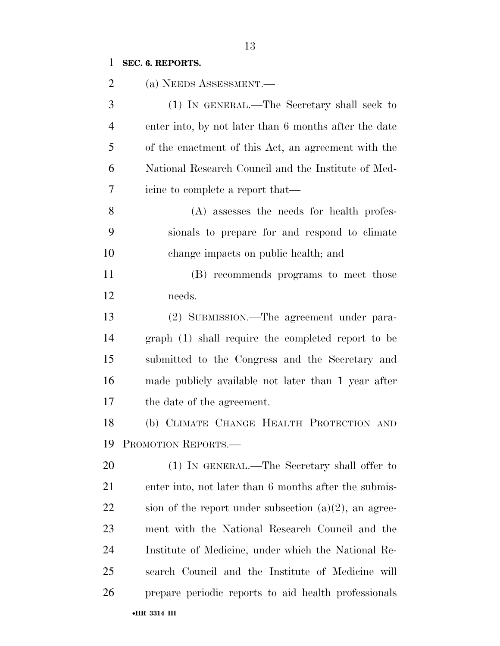## **SEC. 6. REPORTS.**

| 2              | (a) NEEDS ASSESSMENT.—                                   |
|----------------|----------------------------------------------------------|
| 3              | (1) IN GENERAL.—The Secretary shall seek to              |
| $\overline{4}$ | enter into, by not later than 6 months after the date    |
| 5              | of the enactment of this Act, an agreement with the      |
| 6              | National Research Council and the Institute of Med-      |
| 7              | icine to complete a report that—                         |
| 8              | (A) assesses the needs for health profes-                |
| 9              | sionals to prepare for and respond to elimate            |
| 10             | change impacts on public health; and                     |
| 11             | (B) recommends programs to meet those                    |
| 12             | needs.                                                   |
| 13             | (2) SUBMISSION.—The agreement under para-                |
| 14             | graph (1) shall require the completed report to be       |
| 15             | submitted to the Congress and the Secretary and          |
| 16             | made publicly available not later than 1 year after      |
| 17             | the date of the agreement.                               |
| 18             | (b) CLIMATE CHANGE HEALTH PROTECTION AND                 |
|                | 19 PROMOTION REPORTS.                                    |
| 20             | (1) IN GENERAL.—The Secretary shall offer to             |
| 21             | enter into, not later than 6 months after the submis-    |
| 22             | sion of the report under subsection $(a)(2)$ , an agree- |
| 23             | ment with the National Research Council and the          |
| 24             | Institute of Medicine, under which the National Re-      |
| 25             | search Council and the Institute of Medicine will        |
| 26             | prepare periodic reports to aid health professionals     |
|                | •HR 3314 IH                                              |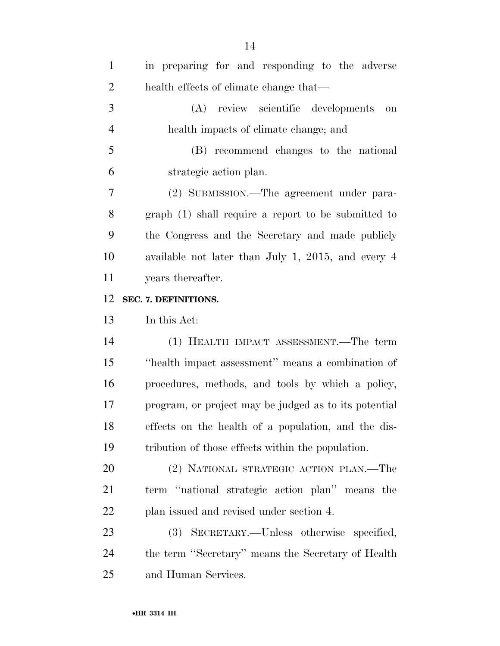| $\mathbf{1}$   | in preparing for and responding to the adverse        |
|----------------|-------------------------------------------------------|
| $\overline{2}$ | health effects of climate change that—                |
| 3              | (A) review scientific developments<br><b>on</b>       |
| $\overline{4}$ | health impacts of climate change; and                 |
| 5              | (B) recommend changes to the national                 |
| 6              | strategic action plan.                                |
| 7              | (2) SUBMISSION.—The agreement under para-             |
| 8              | graph (1) shall require a report to be submitted to   |
| 9              | the Congress and the Secretary and made publicly      |
| 10             | available not later than July 1, 2015, and every 4    |
| 11             | years thereafter.                                     |
| 12             | SEC. 7. DEFINITIONS.                                  |
| 13             | In this Act:                                          |
| 14             | (1) HEALTH IMPACT ASSESSMENT.—The term                |
| 15             | "health impact assessment" means a combination of     |
| 16             | procedures, methods, and tools by which a policy,     |
| 17             | program, or project may be judged as to its potential |
| 18             | effects on the health of a population, and the dis-   |
| 19             | tribution of those effects within the population.     |
| 20             | (2) NATIONAL STRATEGIC ACTION PLAN.—The               |
| 21             | term "national strategic action plan" means the       |
| 22             | plan issued and revised under section 4.              |
| 23             |                                                       |
|                | (3) SECRETARY.—Unless otherwise specified,            |
| 24             | the term "Secretary" means the Secretary of Health    |